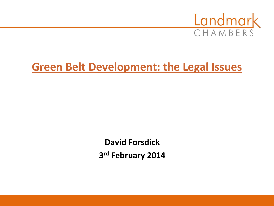

# **Green Belt Development: the Legal Issues**

**David Forsdick 3 rd February 2014**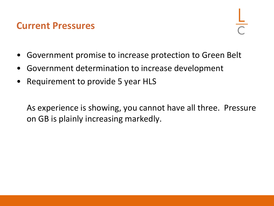### **Current Pressures**

- Government promise to increase protection to Green Belt
- Government determination to increase development
- Requirement to provide 5 year HLS

As experience is showing, you cannot have all three. Pressure on GB is plainly increasing markedly.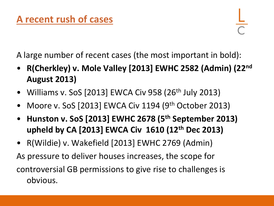A large number of recent cases (the most important in bold):

- **R(Cherkley) v. Mole Valley [2013] EWHC 2582 (Admin) (22nd August 2013)**
- Williams v. SoS  $[2013]$  EWCA Civ 958  $(26<sup>th</sup>$  July 2013)
- Moore v. SoS [2013] EWCA Civ 1194 (9<sup>th</sup> October 2013)
- **Hunston v. SoS [2013] EWHC 2678 (5th September 2013) upheld by CA [2013] EWCA Civ 1610 (12th Dec 2013)**
- R(Wildie) v. Wakefield [2013] EWHC 2769 (Admin) As pressure to deliver houses increases, the scope for controversial GB permissions to give rise to challenges is obvious.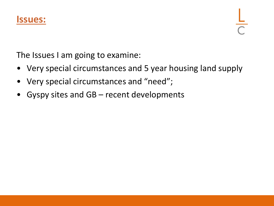

The Issues I am going to examine:

- Very special circumstances and 5 year housing land supply
- Very special circumstances and "need";
- Gyspy sites and GB recent developments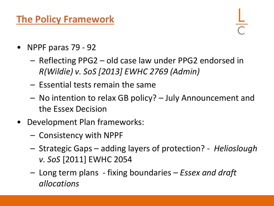## **The Policy Framework**

- NPPF paras 79 92
	- Reflecting PPG2 old case law under PPG2 endorsed in *R(Wildie) v. SoS [2013] EWHC 2769 (Admin)*
	- Essential tests remain the same
	- No intention to relax GB policy? July Announcement and the Essex Decision
- Development Plan frameworks:
	- Consistency with NPPF
	- Strategic Gaps adding layers of protection? *Helioslough v. SoS* [2011] EWHC 2054
	- Long term plans fixing boundaries *Essex and draft allocations*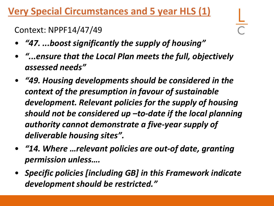## **Very Special Circumstances and 5 year HLS (1)**

Context: NPPF14/47/49

- *"47. ...boost significantly the supply of housing"*
- *"...ensure that the Local Plan meets the full, objectively assessed needs"*
- *"49. Housing developments should be considered in the context of the presumption in favour of sustainable development. Relevant policies for the supply of housing should not be considered up –to-date if the local planning authority cannot demonstrate a five-year supply of deliverable housing sites".*
- *"14. Where …relevant policies are out-of date, granting permission unless….*
- *Specific policies [including GB] in this Framework indicate development should be restricted."*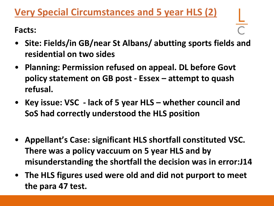## **Very Special Circumstances and 5 year HLS (2)**

**Facts:** 

- **Site: Fields/in GB/near St Albans/ abutting sports fields and residential on two sides**
- **Planning: Permission refused on appeal. DL before Govt policy statement on GB post - Essex – attempt to quash refusal.**
- **Key issue: VSC - lack of 5 year HLS – whether council and SoS had correctly understood the HLS position**
- **Appellant's Case: significant HLS shortfall constituted VSC. There was a policy vaccuum on 5 year HLS and by misunderstanding the shortfall the decision was in error:J14**
- **The HLS figures used were old and did not purport to meet the para 47 test.**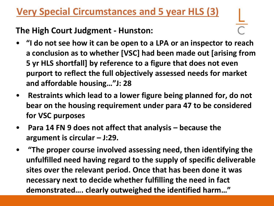## **Very Special Circumstances and 5 year HLS (3)**

#### **The High Court Judgment - Hunston:**

- **"I do not see how it can be open to a LPA or an inspector to reach a conclusion as to whether [VSC] had been made out [arising from 5 yr HLS shortfall] by reference to a figure that does not even purport to reflect the full objectively assessed needs for market and affordable housing…"J: 28**
- **Restraints which lead to a lower figure being planned for, do not bear on the housing requirement under para 47 to be considered for VSC purposes**
- **Para 14 FN 9 does not affect that analysis – because the argument is circular – J:29.**
- **"The proper course involved assessing need, then identifying the unfulfilled need having regard to the supply of specific deliverable sites over the relevant period. Once that has been done it was necessary next to decide whether fulfilling the need in fact demonstrated…. clearly outweighed the identified harm…"**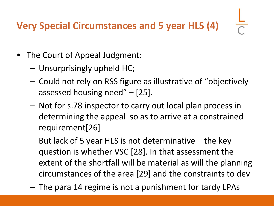# **Very Special Circumstances and 5 year HLS (4)**

- The Court of Appeal Judgment:
	- Unsurprisingly upheld HC;
	- Could not rely on RSS figure as illustrative of "objectively assessed housing need" – [25].
	- Not for s.78 inspector to carry out local plan process in determining the appeal so as to arrive at a constrained requirement[26]
	- But lack of 5 year HLS is not determinative the key question is whether VSC [28]. In that assessment the extent of the shortfall will be material as will the planning circumstances of the area [29] and the constraints to dev
	- The para 14 regime is not a punishment for tardy LPAs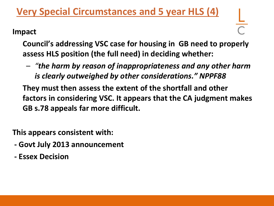## **Very Special Circumstances and 5 year HLS (4)**

#### **Impact**

**Council's addressing VSC case for housing in GB need to properly assess HLS position (the full need) in deciding whether:**

– *"the harm by reason of inappropriateness and any other harm is clearly outweighed by other considerations." NPPF88*

**They must then assess the extent of the shortfall and other factors in considering VSC. It appears that the CA judgment makes GB s.78 appeals far more difficult.** 

**This appears consistent with:**

- **- Govt July 2013 announcement**
- **- Essex Decision**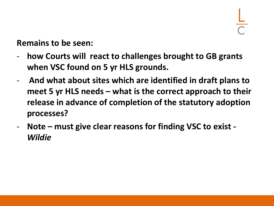**Remains to be seen:**

- **how Courts will react to challenges brought to GB grants when VSC found on 5 yr HLS grounds.**
- **And what about sites which are identified in draft plans to meet 5 yr HLS needs – what is the correct approach to their release in advance of completion of the statutory adoption processes?**
- **Note – must give clear reasons for finding VSC to exist -** *Wildie*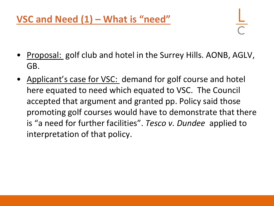- Proposal: golf club and hotel in the Surrey Hills. AONB, AGLV, GB.
- Applicant's case for VSC: demand for golf course and hotel here equated to need which equated to VSC. The Council accepted that argument and granted pp. Policy said those promoting golf courses would have to demonstrate that there is "a need for further facilities". *Tesco v. Dundee* applied to interpretation of that policy.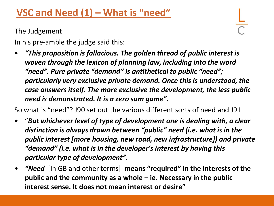## **VSC and Need (1) – What is "need"**

#### **The Judgement**

In his pre-amble the judge said this:

• *"This proposition is fallacious. The golden thread of public interest is woven through the lexicon of planning law, including into the word "need". Pure private "demand" is antithetical to public "need"; particularly very exclusive private demand. Once this is understood, the case answers itself. The more exclusive the development, the less public need is demonstrated. It is a zero sum game".*

So what is "need"? J90 set out the various different sorts of need and J91:

- "*But whichever level of type of development one is dealing with, a clear distinction is always drawn between "public" need (i.e. what is in the public interest [more housing, new road, new infrastructure]) and private "demand" (i.e. what is in the developer's interest by having this particular type of development".*
- *"Need* [in GB and other terms] **means "required" in the interests of the public and the community as a whole – ie. Necessary in the public interest sense. It does not mean interest or desire"**